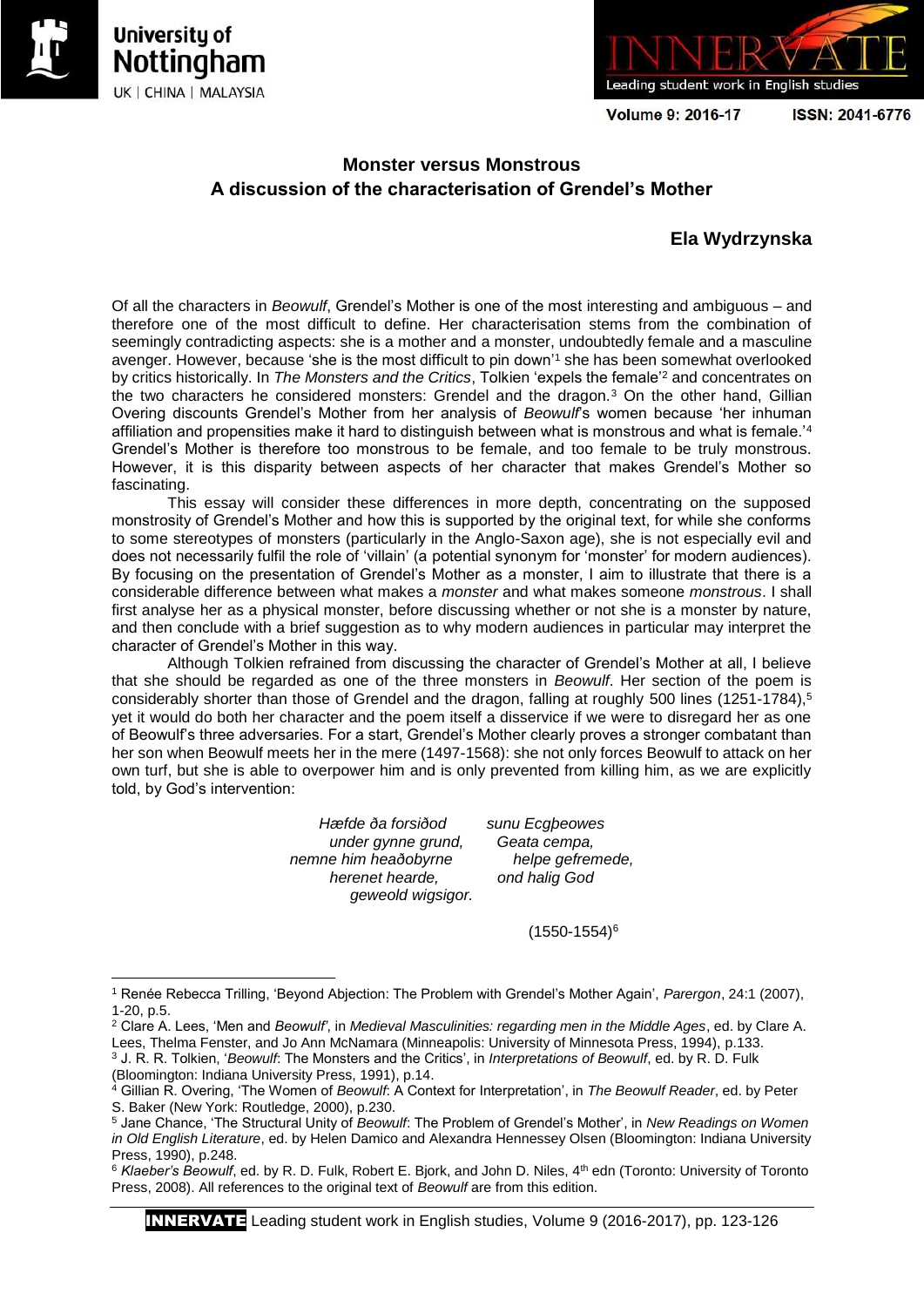

 $\overline{a}$ 





**Volume 9: 2016-17** 

ISSN: 2041-6776

## **Monster versus Monstrous A discussion of the characterisation of Grendel's Mother**

## **Ela Wydrzynska**

Of all the characters in *Beowulf*, Grendel's Mother is one of the most interesting and ambiguous – and therefore one of the most difficult to define. Her characterisation stems from the combination of seemingly contradicting aspects: she is a mother and a monster, undoubtedly female and a masculine avenger. However, because 'she is the most difficult to pin down'<sup>1</sup> she has been somewhat overlooked by critics historically. In *The Monsters and the Critics*, Tolkien 'expels the female'<sup>2</sup> and concentrates on the two characters he considered monsters: Grendel and the dragon.<sup>3</sup> On the other hand, Gillian Overing discounts Grendel's Mother from her analysis of *Beowulf*'s women because 'her inhuman affiliation and propensities make it hard to distinguish between what is monstrous and what is female.<sup>4</sup> Grendel's Mother is therefore too monstrous to be female, and too female to be truly monstrous. However, it is this disparity between aspects of her character that makes Grendel's Mother so fascinating.

This essay will consider these differences in more depth, concentrating on the supposed monstrosity of Grendel's Mother and how this is supported by the original text, for while she conforms to some stereotypes of monsters (particularly in the Anglo-Saxon age), she is not especially evil and does not necessarily fulfil the role of 'villain' (a potential synonym for 'monster' for modern audiences). By focusing on the presentation of Grendel's Mother as a monster, I aim to illustrate that there is a considerable difference between what makes a *monster* and what makes someone *monstrous*. I shall first analyse her as a physical monster, before discussing whether or not she is a monster by nature, and then conclude with a brief suggestion as to why modern audiences in particular may interpret the character of Grendel's Mother in this way.

Although Tolkien refrained from discussing the character of Grendel's Mother at all, I believe that she should be regarded as one of the three monsters in *Beowulf*. Her section of the poem is considerably shorter than those of Grendel and the dragon, falling at roughly 500 lines (1251-1784),<sup>5</sup> yet it would do both her character and the poem itself a disservice if we were to disregard her as one of Beowulf's three adversaries. For a start, Grendel's Mother clearly proves a stronger combatant than her son when Beowulf meets her in the mere (1497-1568): she not only forces Beowulf to attack on her own turf, but she is able to overpower him and is only prevented from killing him, as we are explicitly told, by God's intervention:

> *Hæfde ða forsiðod sunu Ecgþeowes under gynne grund, Geata cempa, nemne him heaðobyrne helpe gefremede, herenet hearde, ond halig God geweold wigsigor.*

(1550-1554)<sup>6</sup>

INNERVATE Leading student work in English studies, Volume 9 (2016-2017), pp. 123-126

<sup>1</sup> Renée Rebecca Trilling, 'Beyond Abjection: The Problem with Grendel's Mother Again', *Parergon*, 24:1 (2007), 1-20, p.5.

<sup>2</sup> Clare A. Lees, 'Men and *Beowulf'*, in *Medieval Masculinities: regarding men in the Middle Ages*, ed. by Clare A. Lees, Thelma Fenster, and Jo Ann McNamara (Minneapolis: University of Minnesota Press, 1994), p.133. <sup>3</sup> J. R. R. Tolkien, '*Beowulf*: The Monsters and the Critics', in *Interpretations of Beowulf*, ed. by R. D. Fulk

<sup>(</sup>Bloomington: Indiana University Press, 1991), p.14. <sup>4</sup> Gillian R. Overing, 'The Women of *Beowulf*: A Context for Interpretation', in *The Beowulf Reader*, ed. by Peter S. Baker (New York: Routledge, 2000), p.230.

<sup>5</sup> Jane Chance, 'The Structural Unity of *Beowulf*: The Problem of Grendel's Mother', in *New Readings on Women in Old English Literature*, ed. by Helen Damico and Alexandra Hennessey Olsen (Bloomington: Indiana University Press, 1990), p.248.

<sup>&</sup>lt;sup>6</sup> Klaeber's Beowulf, ed. by R. D. Fulk, Robert E. Bjork, and John D. Niles, 4<sup>th</sup> edn (Toronto: University of Toronto Press, 2008). All references to the original text of *Beowulf* are from this edition.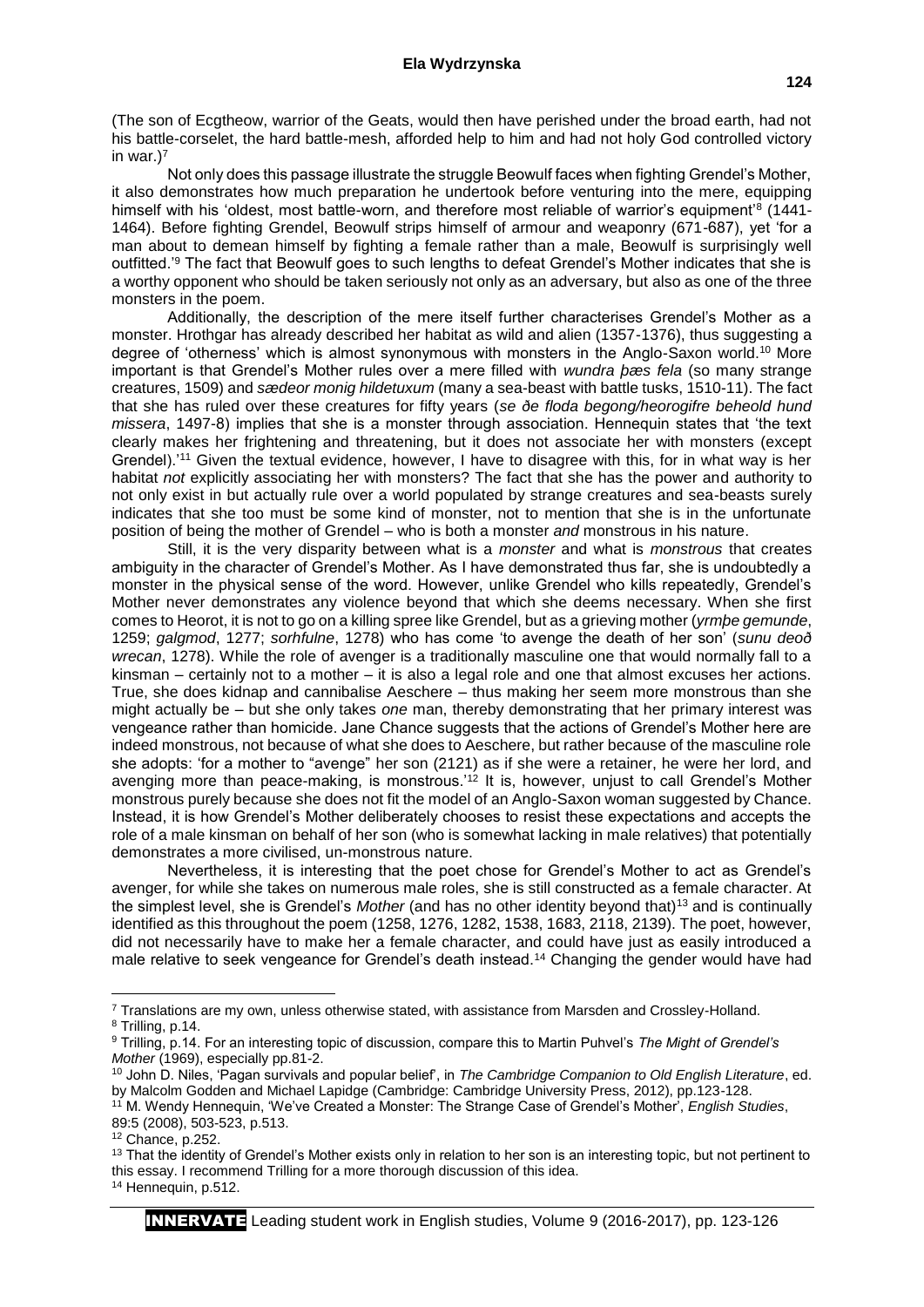(The son of Ecgtheow, warrior of the Geats, would then have perished under the broad earth, had not his battle-corselet, the hard battle-mesh, afforded help to him and had not holy God controlled victory in war.)<sup>7</sup>

Not only does this passage illustrate the struggle Beowulf faces when fighting Grendel's Mother, it also demonstrates how much preparation he undertook before venturing into the mere, equipping himself with his 'oldest, most battle-worn, and therefore most reliable of warrior's equipment<sup>'8</sup> (1441-1464). Before fighting Grendel, Beowulf strips himself of armour and weaponry (671-687), yet 'for a man about to demean himself by fighting a female rather than a male, Beowulf is surprisingly well outfitted.'<sup>9</sup> The fact that Beowulf goes to such lengths to defeat Grendel's Mother indicates that she is a worthy opponent who should be taken seriously not only as an adversary, but also as one of the three monsters in the poem.

Additionally, the description of the mere itself further characterises Grendel's Mother as a monster. Hrothgar has already described her habitat as wild and alien (1357-1376), thus suggesting a degree of 'otherness' which is almost synonymous with monsters in the Anglo-Saxon world.<sup>10</sup> More important is that Grendel's Mother rules over a mere filled with *wundra þæs fela* (so many strange creatures, 1509) and *sædeor monig hildetuxum* (many a sea-beast with battle tusks, 1510-11). The fact that she has ruled over these creatures for fifty years (*se ðe floda begong/heorogifre beheold hund missera*, 1497-8) implies that she is a monster through association. Hennequin states that 'the text clearly makes her frightening and threatening, but it does not associate her with monsters (except Grendel).'<sup>11</sup> Given the textual evidence, however, I have to disagree with this, for in what way is her habitat *not* explicitly associating her with monsters? The fact that she has the power and authority to not only exist in but actually rule over a world populated by strange creatures and sea-beasts surely indicates that she too must be some kind of monster, not to mention that she is in the unfortunate position of being the mother of Grendel – who is both a monster *and* monstrous in his nature.

Still, it is the very disparity between what is a *monster* and what is *monstrous* that creates ambiguity in the character of Grendel's Mother. As I have demonstrated thus far, she is undoubtedly a monster in the physical sense of the word. However, unlike Grendel who kills repeatedly, Grendel's Mother never demonstrates any violence beyond that which she deems necessary. When she first comes to Heorot, it is not to go on a killing spree like Grendel, but as a grieving mother (*yrmþe gemunde*, 1259; *galgmod*, 1277; *sorhfulne*, 1278) who has come 'to avenge the death of her son' (*sunu deoð wrecan*, 1278). While the role of avenger is a traditionally masculine one that would normally fall to a kinsman – certainly not to a mother – it is also a legal role and one that almost excuses her actions. True, she does kidnap and cannibalise Aeschere – thus making her seem more monstrous than she might actually be – but she only takes *one* man, thereby demonstrating that her primary interest was vengeance rather than homicide. Jane Chance suggests that the actions of Grendel's Mother here are indeed monstrous, not because of what she does to Aeschere, but rather because of the masculine role she adopts: 'for a mother to "avenge" her son (2121) as if she were a retainer, he were her lord, and avenging more than peace-making, is monstrous.<sup>'12</sup> It is, however, unjust to call Grendel's Mother monstrous purely because she does not fit the model of an Anglo-Saxon woman suggested by Chance. Instead, it is how Grendel's Mother deliberately chooses to resist these expectations and accepts the role of a male kinsman on behalf of her son (who is somewhat lacking in male relatives) that potentially demonstrates a more civilised, un-monstrous nature.

Nevertheless, it is interesting that the poet chose for Grendel's Mother to act as Grendel's avenger, for while she takes on numerous male roles, she is still constructed as a female character. At the simplest level, she is Grendel's *Mother* (and has no other identity beyond that)<sup>13</sup> and is continually identified as this throughout the poem (1258, 1276, 1282, 1538, 1683, 2118, 2139). The poet, however, did not necessarily have to make her a female character, and could have just as easily introduced a male relative to seek vengeance for Grendel's death instead.<sup>14</sup> Changing the gender would have had

**.** 

<sup>7</sup> Translations are my own, unless otherwise stated, with assistance from Marsden and Crossley-Holland. <sup>8</sup> Trilling, p.14.

<sup>9</sup> Trilling, p.14. For an interesting topic of discussion, compare this to Martin Puhvel's *The Might of Grendel's Mother* (1969), especially pp.81-2.

<sup>10</sup> John D. Niles, 'Pagan survivals and popular belief', in *The Cambridge Companion to Old English Literature*, ed. by Malcolm Godden and Michael Lapidge (Cambridge: Cambridge University Press, 2012), pp.123-128.

<sup>11</sup> M. Wendy Hennequin, 'We've Created a Monster: The Strange Case of Grendel's Mother', *English Studies*, 89:5 (2008), 503-523, p.513.

<sup>12</sup> Chance, p.252.

<sup>&</sup>lt;sup>13</sup> That the identity of Grendel's Mother exists only in relation to her son is an interesting topic, but not pertinent to this essay. I recommend Trilling for a more thorough discussion of this idea.

<sup>14</sup> Hennequin, p.512.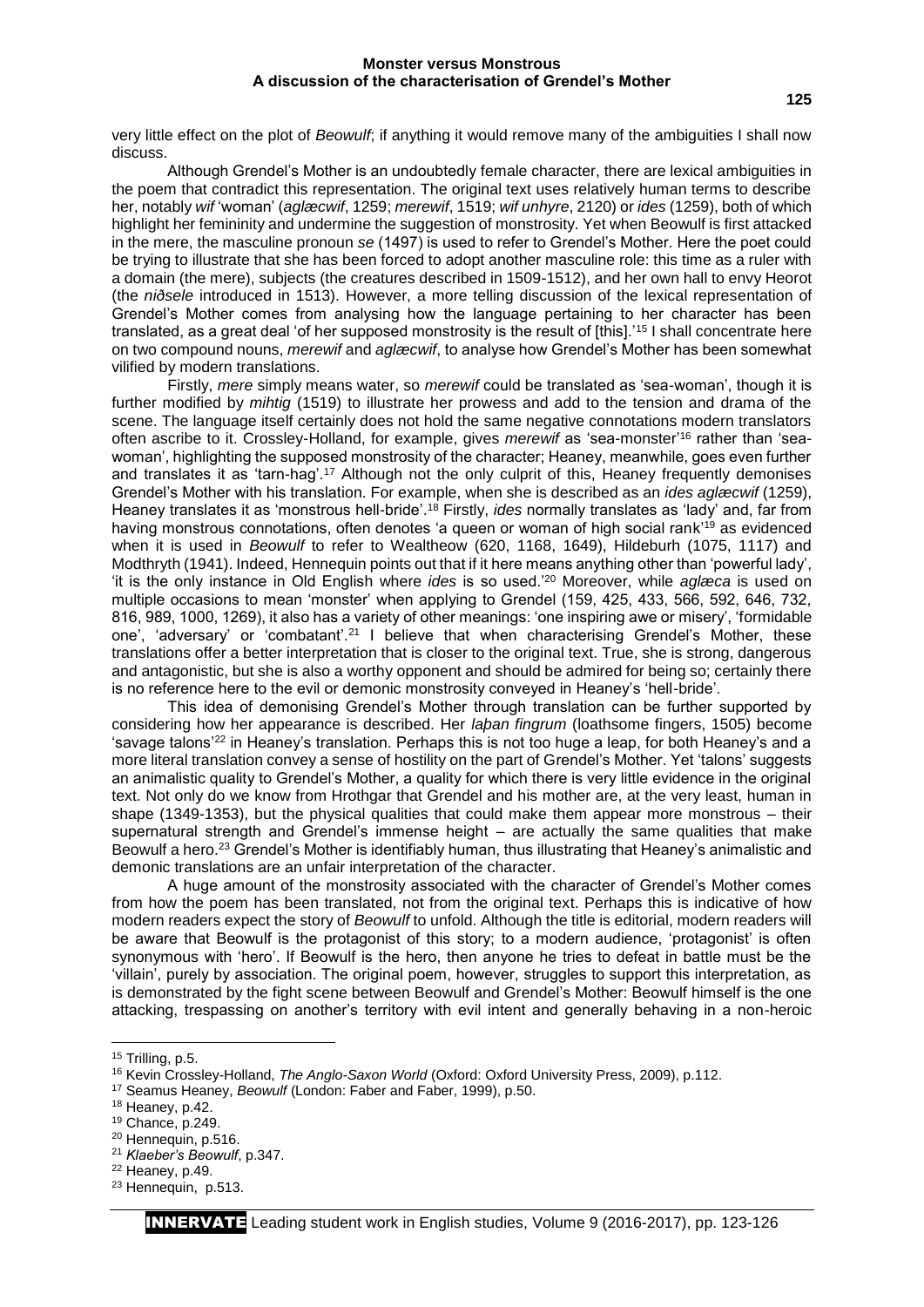## **Monster versus Monstrous A discussion of the characterisation of Grendel's Mother**

very little effect on the plot of *Beowulf*; if anything it would remove many of the ambiguities I shall now discuss.

Although Grendel's Mother is an undoubtedly female character, there are lexical ambiguities in the poem that contradict this representation. The original text uses relatively human terms to describe her, notably *wif* 'woman' (*aglæcwif*, 1259; *merewif*, 1519; *wif unhyre*, 2120) or *ides* (1259), both of which highlight her femininity and undermine the suggestion of monstrosity. Yet when Beowulf is first attacked in the mere, the masculine pronoun *se* (1497) is used to refer to Grendel's Mother. Here the poet could be trying to illustrate that she has been forced to adopt another masculine role: this time as a ruler with a domain (the mere), subjects (the creatures described in 1509-1512), and her own hall to envy Heorot (the *niðsele* introduced in 1513). However, a more telling discussion of the lexical representation of Grendel's Mother comes from analysing how the language pertaining to her character has been translated, as a great deal 'of her supposed monstrosity is the result of [this].'<sup>15</sup> I shall concentrate here on two compound nouns, *merewif* and *aglæcwif*, to analyse how Grendel's Mother has been somewhat vilified by modern translations.

Firstly, *mere* simply means water, so *merewif* could be translated as 'sea-woman', though it is further modified by *mihtig* (1519) to illustrate her prowess and add to the tension and drama of the scene. The language itself certainly does not hold the same negative connotations modern translators often ascribe to it. Crossley-Holland, for example, gives *merewif* as 'sea-monster' <sup>16</sup> rather than 'seawoman', highlighting the supposed monstrosity of the character; Heaney, meanwhile, goes even further and translates it as 'tarn-hag'.<sup>17</sup> Although not the only culprit of this, Heaney frequently demonises Grendel's Mother with his translation. For example, when she is described as an *ides aglæcwif* (1259), Heaney translates it as 'monstrous hell-bride'.<sup>18</sup> Firstly, *ides* normally translates as 'lady' and, far from having monstrous connotations, often denotes 'a queen or woman of high social rank'<sup>19</sup> as evidenced when it is used in *Beowulf* to refer to Wealtheow (620, 1168, 1649), Hildeburh (1075, 1117) and Modthryth (1941). Indeed, Hennequin points out that if it here means anything other than 'powerful lady', 'it is the only instance in Old English where *ides* is so used.'<sup>20</sup> Moreover, while *aglæca* is used on multiple occasions to mean 'monster' when applying to Grendel (159, 425, 433, 566, 592, 646, 732, 816, 989, 1000, 1269), it also has a variety of other meanings: 'one inspiring awe or misery', 'formidable one', 'adversary' or 'combatant'.<sup>21</sup> I believe that when characterising Grendel's Mother, these translations offer a better interpretation that is closer to the original text. True, she is strong, dangerous and antagonistic, but she is also a worthy opponent and should be admired for being so; certainly there is no reference here to the evil or demonic monstrosity conveyed in Heaney's 'hell-bride'.

This idea of demonising Grendel's Mother through translation can be further supported by considering how her appearance is described. Her *laþan fingrum* (loathsome fingers, 1505) become 'savage talons'<sup>22</sup> in Heaney's translation. Perhaps this is not too huge a leap, for both Heaney's and a more literal translation convey a sense of hostility on the part of Grendel's Mother. Yet 'talons' suggests an animalistic quality to Grendel's Mother, a quality for which there is very little evidence in the original text. Not only do we know from Hrothgar that Grendel and his mother are, at the very least, human in shape (1349-1353), but the physical qualities that could make them appear more monstrous – their supernatural strength and Grendel's immense height – are actually the same qualities that make Beowulf a hero.<sup>23</sup> Grendel's Mother is identifiably human, thus illustrating that Heaney's animalistic and demonic translations are an unfair interpretation of the character.

A huge amount of the monstrosity associated with the character of Grendel's Mother comes from how the poem has been translated, not from the original text. Perhaps this is indicative of how modern readers expect the story of *Beowulf* to unfold. Although the title is editorial, modern readers will be aware that Beowulf is the protagonist of this story; to a modern audience, 'protagonist' is often synonymous with 'hero'. If Beowulf is the hero, then anyone he tries to defeat in battle must be the 'villain', purely by association. The original poem, however, struggles to support this interpretation, as is demonstrated by the fight scene between Beowulf and Grendel's Mother: Beowulf himself is the one attacking, trespassing on another's territory with evil intent and generally behaving in a non-heroic

**.** 

<sup>21</sup> *Klaeber's Beowulf*, p.347.

<sup>15</sup> Trilling, p.5.

<sup>16</sup> Kevin Crossley-Holland, *The Anglo-Saxon World* (Oxford: Oxford University Press, 2009), p.112.

<sup>17</sup> Seamus Heaney, *Beowulf* (London: Faber and Faber, 1999), p.50.

<sup>18</sup> Heaney, p.42.

<sup>19</sup> Chance, p.249.

<sup>20</sup> Hennequin, p.516.

<sup>22</sup> Heaney, p.49.

<sup>23</sup> Hennequin, p.513.